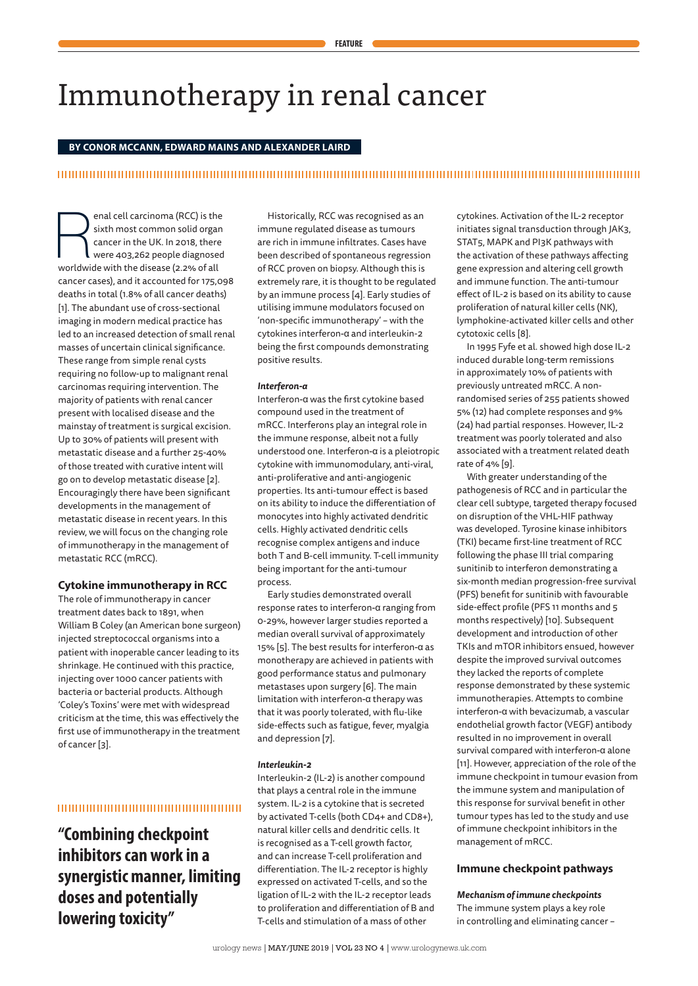# Immunotherapy in renal cancer

# **BY CONOR MCCANN, EDWARD MAINS AND ALEXANDER LAIRD**

# 

enal cell carcinoma (RCC) is the sixth most common solid organ cancer in the UK. In 2018, there were 403,262 people diagnosed worldwide with the disease (2.2% of all sixth most common solid organ cancer in the UK. In 2018, there were 403,262 people diagnosed cancer cases), and it accounted for 175,098 deaths in total (1.8% of all cancer deaths) [1]. The abundant use of cross-sectional imaging in modern medical practice has led to an increased detection of small renal masses of uncertain clinical significance. These range from simple renal cysts requiring no follow-up to malignant renal carcinomas requiring intervention. The majority of patients with renal cancer present with localised disease and the mainstay of treatment is surgical excision. Up to 30% of patients will present with metastatic disease and a further 25-40% of those treated with curative intent will go on to develop metastatic disease [2]. Encouragingly there have been significant developments in the management of metastatic disease in recent years. In this review, we will focus on the changing role of immunotherapy in the management of metastatic RCC (mRCC).

## **Cytokine immunotherapy in RCC**

The role of immunotherapy in cancer treatment dates back to 1891, when William B Coley (an American bone surgeon) injected streptococcal organisms into a patient with inoperable cancer leading to its shrinkage. He continued with this practice, injecting over 1000 cancer patients with bacteria or bacterial products. Although 'Coley's Toxins' were met with widespread criticism at the time, this was effectively the first use of immunotherapy in the treatment of cancer [3].

### 

**"Combining checkpoint inhibitors can work in a synergistic manner, limiting doses and potentially lowering toxicity"**

Historically, RCC was recognised as an immune regulated disease as tumours are rich in immune infiltrates. Cases have been described of spontaneous regression of RCC proven on biopsy. Although this is extremely rare, it is thought to be regulated by an immune process [4]. Early studies of utilising immune modulators focused on 'non-specific immunotherapy' – with the cytokines interferon-α and interleukin-2 being the first compounds demonstrating positive results.

#### *Interferon-α*

Interferon-α was the first cytokine based compound used in the treatment of mRCC. Interferons play an integral role in the immune response, albeit not a fully understood one. Interferon-α is a pleiotropic cytokine with immunomodulary, anti-viral, anti-proliferative and anti-angiogenic properties. Its anti-tumour effect is based on its ability to induce the differentiation of monocytes into highly activated dendritic cells. Highly activated dendritic cells recognise complex antigens and induce both T and B-cell immunity. T-cell immunity being important for the anti-tumour process.

Early studies demonstrated overall response rates to interferon-α ranging from 0-29%, however larger studies reported a median overall survival of approximately 15% [5]. The best results for interferon-α as monotherapy are achieved in patients with good performance status and pulmonary metastases upon surgery [6]. The main limitation with interferon-α therapy was that it was poorly tolerated, with flu-like side-effects such as fatigue, fever, myalgia and depression [7].

#### *Interleukin-2*

Interleukin-2 (IL-2) is another compound that plays a central role in the immune system. IL-2 is a cytokine that is secreted by activated T-cells (both CD4+ and CD8+), natural killer cells and dendritic cells. It is recognised as a T-cell growth factor, and can increase T-cell proliferation and differentiation. The IL-2 receptor is highly expressed on activated T-cells, and so the ligation of IL-2 with the IL-2 receptor leads to proliferation and differentiation of B and T-cells and stimulation of a mass of other

cytokines. Activation of the IL-2 receptor initiates signal transduction through JAK3, STAT5, MAPK and PI3K pathways with the activation of these pathways affecting gene expression and altering cell growth and immune function. The anti-tumour effect of IL-2 is based on its ability to cause proliferation of natural killer cells (NK), lymphokine-activated killer cells and other cytotoxic cells [8].

In 1995 Fyfe et al. showed high dose IL-2 induced durable long-term remissions in approximately 10% of patients with previously untreated mRCC. A nonrandomised series of 255 patients showed 5% (12) had complete responses and 9% (24) had partial responses. However, IL-2 treatment was poorly tolerated and also associated with a treatment related death rate of 4% [9].

With greater understanding of the pathogenesis of RCC and in particular the clear cell subtype, targeted therapy focused on disruption of the VHL-HIF pathway was developed. Tyrosine kinase inhibitors (TKI) became first-line treatment of RCC following the phase III trial comparing sunitinib to interferon demonstrating a six-month median progression-free survival (PFS) benefit for sunitinib with favourable side-effect profile (PFS 11 months and 5 months respectively) [10]. Subsequent development and introduction of other TKIs and mTOR inhibitors ensued, however despite the improved survival outcomes they lacked the reports of complete response demonstrated by these systemic immunotherapies. Attempts to combine interferon-α with bevacizumab, a vascular endothelial growth factor (VEGF) antibody resulted in no improvement in overall survival compared with interferon-α alone [11]. However, appreciation of the role of the immune checkpoint in tumour evasion from the immune system and manipulation of this response for survival benefit in other tumour types has led to the study and use of immune checkpoint inhibitors in the management of mRCC.

## **Immune checkpoint pathways**

*Mechanism of immune checkpoints* The immune system plays a key role in controlling and eliminating cancer –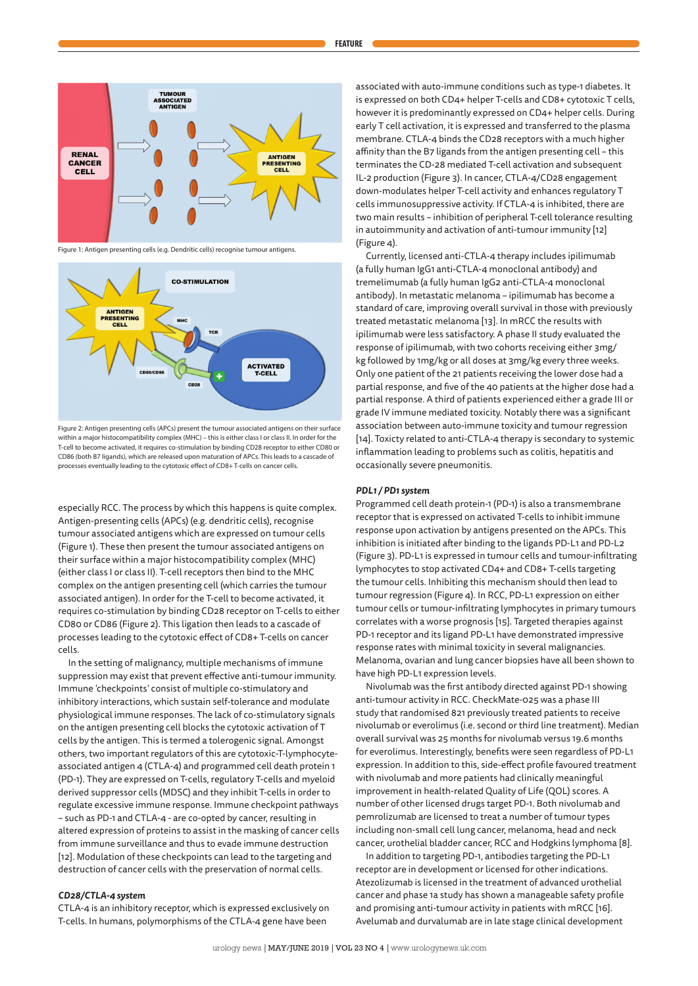

Figure 1: Antigen presenting cells (e.g. Dendritic cells) recognise tumour antigens.



Figure 2: Antigen presenting cells (APCs) present the tumour associated antigens on their surface within a major histocompatibility complex (MHC) – this is either class I or class II. In order for the T-cell to become activated, it requires co-stimulation by binding CD28 receptor to either CD80 or CD86 (both B7 ligands), which are released upon maturation of APCs. This leads to a cascade of processes eventually leading to the cytotoxic effect of CD8+ T-cells on cancer cells.

especially RCC. The process by which this happens is quite complex. Antigen-presenting cells (APCs) (e.g. dendritic cells), recognise tumour associated antigens which are expressed on tumour cells (Figure 1). These then present the tumour associated antigens on their surface within a major histocompatibility complex (MHC) (either class I or class II). T-cell receptors then bind to the MHC complex on the antigen presenting cell (which carries the tumour associated antigen). In order for the T-cell to become activated, it requires co-stimulation by binding CD28 receptor on T-cells to either CD80 or CD86 (Figure 2). This ligation then leads to a cascade of processes leading to the cytotoxic effect of CD8+ T-cells on cancer cells.

In the setting of malignancy, multiple mechanisms of immune suppression may exist that prevent effective anti-tumour immunity. Immune 'checkpoints' consist of multiple co-stimulatory and inhibitory interactions, which sustain self-tolerance and modulate physiological immune responses. The lack of co-stimulatory signals on the antigen presenting cell blocks the cytotoxic activation of T cells by the antigen. This is termed a tolerogenic signal. Amongst others, two important regulators of this are cytotoxic-T-lymphocyteassociated antigen 4 (CTLA-4) and programmed cell death protein 1 (PD-1). They are expressed on T-cells, regulatory T-cells and myeloid derived suppressor cells (MDSC) and they inhibit T-cells in order to regulate excessive immune response. Immune checkpoint pathways – such as PD-1 and CTLA-4 - are co-opted by cancer, resulting in altered expression of proteins to assist in the masking of cancer cells from immune surveillance and thus to evade immune destruction [12]. Modulation of these checkpoints can lead to the targeting and destruction of cancer cells with the preservation of normal cells.

### *CD28/CTLA-4 system*

CTLA-4 is an inhibitory receptor, which is expressed exclusively on T-cells. In humans, polymorphisms of the CTLA-4 gene have been

associated with auto-immune conditions such as type-1 diabetes. It is expressed on both CD4+ helper T-cells and CD8+ cytotoxic T cells, however it is predominantly expressed on CD4+ helper cells. During early T cell activation, it is expressed and transferred to the plasma membrane. CTLA-4 binds the CD28 receptors with a much higher affinity than the B7 ligands from the antigen presenting cell – this terminates the CD-28 mediated T-cell activation and subsequent IL-2 production (Figure 3). In cancer, CTLA-4/CD28 engagement down-modulates helper T-cell activity and enhances regulatory T cells immunosuppressive activity. If CTLA-4 is inhibited, there are two main results – inhibition of peripheral T-cell tolerance resulting in autoimmunity and activation of anti-tumour immunity [12] (Figure 4).

Currently, licensed anti-CTLA-4 therapy includes ipilimumab (a fully human IgG1 anti-CTLA-4 monoclonal antibody) and tremelimumab (a fully human IgG2 anti-CTLA-4 monoclonal antibody). In metastatic melanoma – ipilimumab has become a standard of care, improving overall survival in those with previously treated metastatic melanoma [13]. In mRCC the results with ipilimumab were less satisfactory. A phase II study evaluated the response of ipilimumab, with two cohorts receiving either 3mg/ kg followed by 1mg/kg or all doses at 3mg/kg every three weeks. Only one patient of the 21 patients receiving the lower dose had a partial response, and five of the 40 patients at the higher dose had a partial response. A third of patients experienced either a grade III or grade IV immune mediated toxicity. Notably there was a significant association between auto-immune toxicity and tumour regression [14]. Toxicty related to anti-CTLA-4 therapy is secondary to systemic inflammation leading to problems such as colitis, hepatitis and occasionally severe pneumonitis.

## *PDL1 / PD1 system*

Programmed cell death protein-1 (PD-1) is also a transmembrane receptor that is expressed on activated T-cells to inhibit immune response upon activation by antigens presented on the APCs. This inhibition is initiated after binding to the ligands PD-L1 and PD-L2 (Figure 3). PD-L1 is expressed in tumour cells and tumour-infiltrating lymphocytes to stop activated CD4+ and CD8+ T-cells targeting the tumour cells. Inhibiting this mechanism should then lead to tumour regression (Figure 4). In RCC, PD-L1 expression on either tumour cells or tumour-infiltrating lymphocytes in primary tumours correlates with a worse prognosis [15]. Targeted therapies against PD-1 receptor and its ligand PD-L1 have demonstrated impressive response rates with minimal toxicity in several malignancies. Melanoma, ovarian and lung cancer biopsies have all been shown to have high PD-L1 expression levels.

Nivolumab was the first antibody directed against PD-1 showing anti-tumour activity in RCC. CheckMate-025 was a phase III study that randomised 821 previously treated patients to receive nivolumab or everolimus (i.e. second or third line treatment). Median overall survival was 25 months for nivolumab versus 19.6 months for everolimus. Interestingly, benefits were seen regardless of PD-L1 expression. In addition to this, side-effect profile favoured treatment with nivolumab and more patients had clinically meaningful improvement in health-related Quality of Life (QOL) scores. A number of other licensed drugs target PD-1. Both nivolumab and pemrolizumab are licensed to treat a number of tumour types including non-small cell lung cancer, melanoma, head and neck cancer, urothelial bladder cancer, RCC and Hodgkins lymphoma [8].

In addition to targeting PD-1, antibodies targeting the PD-L1 receptor are in development or licensed for other indications. Atezolizumab is licensed in the treatment of advanced urothelial cancer and phase 1a study has shown a manageable safety profile and promising anti-tumour activity in patients with mRCC [16]. Avelumab and durvalumab are in late stage clinical development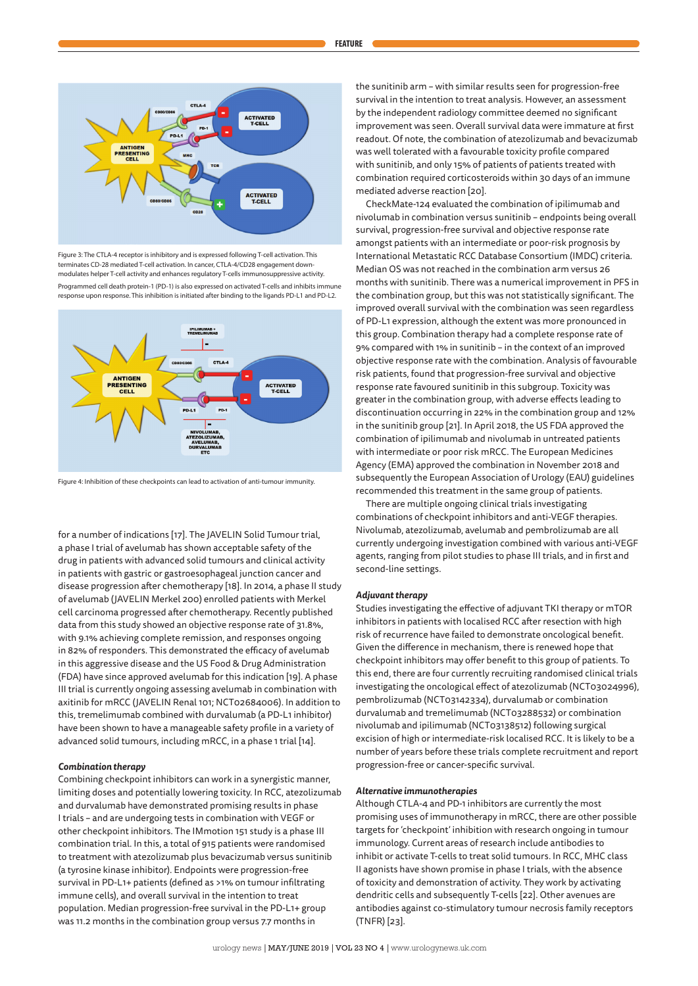

Figure 3: The CTLA-4 receptor is inhibitory and is expressed following T-cell activation. This terminates CD-28 mediated T-cell activation. In cancer, CTLA-4/CD28 engagement downmodulates helper T-cell activity and enhances regulatory T-cells immunosuppressive activity. Programmed cell death protein-1 (PD-1) is also expressed on activated T-cells and inhibits immune response upon response. This inhibition is initiated after binding to the ligands PD-L1 and PD-L2.



Figure 4: Inhibition of these checkpoints can lead to activation of anti-tumour immunity.

for a number of indications [17]. The JAVELIN Solid Tumour trial, a phase I trial of avelumab has shown acceptable safety of the drug in patients with advanced solid tumours and clinical activity in patients with gastric or gastroesophageal junction cancer and disease progression after chemotherapy [18]. In 2014, a phase II study of avelumab (JAVELIN Merkel 200) enrolled patients with Merkel cell carcinoma progressed after chemotherapy. Recently published data from this study showed an objective response rate of 31.8%, with 9.1% achieving complete remission, and responses ongoing in 82% of responders. This demonstrated the efficacy of avelumab in this aggressive disease and the US Food & Drug Administration (FDA) have since approved avelumab for this indication [19]. A phase III trial is currently ongoing assessing avelumab in combination with axitinib for mRCC (JAVELIN Renal 101; NCT02684006). In addition to this, tremelimumab combined with durvalumab (a PD-L1 inhibitor) have been shown to have a manageable safety profile in a variety of advanced solid tumours, including mRCC, in a phase 1 trial [14].

## *Combination therapy*

Combining checkpoint inhibitors can work in a synergistic manner, limiting doses and potentially lowering toxicity. In RCC, atezolizumab and durvalumab have demonstrated promising results in phase I trials – and are undergoing tests in combination with VEGF or other checkpoint inhibitors. The IMmotion 151 study is a phase III combination trial. In this, a total of 915 patients were randomised to treatment with atezolizumab plus bevacizumab versus sunitinib (a tyrosine kinase inhibitor). Endpoints were progression-free survival in PD-L1+ patients (defined as >1% on tumour infiltrating immune cells), and overall survival in the intention to treat population. Median progression-free survival in the PD-L1+ group was 11.2 months in the combination group versus 7.7 months in

the sunitinib arm – with similar results seen for progression-free survival in the intention to treat analysis. However, an assessment by the independent radiology committee deemed no significant improvement was seen. Overall survival data were immature at first readout. Of note, the combination of atezolizumab and bevacizumab was well tolerated with a favourable toxicity profile compared with sunitinib, and only 15% of patients of patients treated with combination required corticosteroids within 30 days of an immune mediated adverse reaction [20].

CheckMate-124 evaluated the combination of ipilimumab and nivolumab in combination versus sunitinib – endpoints being overall survival, progression-free survival and objective response rate amongst patients with an intermediate or poor-risk prognosis by International Metastatic RCC Database Consortium (IMDC) criteria. Median OS was not reached in the combination arm versus 26 months with sunitinib. There was a numerical improvement in PFS in the combination group, but this was not statistically significant. The improved overall survival with the combination was seen regardless of PD-L1 expression, although the extent was more pronounced in this group. Combination therapy had a complete response rate of 9% compared with 1% in sunitinib – in the context of an improved objective response rate with the combination. Analysis of favourable risk patients, found that progression-free survival and objective response rate favoured sunitinib in this subgroup. Toxicity was greater in the combination group, with adverse effects leading to discontinuation occurring in 22% in the combination group and 12% in the sunitinib group [21]. In April 2018, the US FDA approved the combination of ipilimumab and nivolumab in untreated patients with intermediate or poor risk mRCC. The European Medicines Agency (EMA) approved the combination in November 2018 and subsequently the European Association of Urology (EAU) guidelines recommended this treatment in the same group of patients.

There are multiple ongoing clinical trials investigating combinations of checkpoint inhibitors and anti-VEGF therapies. Nivolumab, atezolizumab, avelumab and pembrolizumab are all currently undergoing investigation combined with various anti-VEGF agents, ranging from pilot studies to phase III trials, and in first and second-line settings.

## *Adjuvant therapy*

Studies investigating the effective of adjuvant TKI therapy or mTOR inhibitors in patients with localised RCC after resection with high risk of recurrence have failed to demonstrate oncological benefit. Given the difference in mechanism, there is renewed hope that checkpoint inhibitors may offer benefit to this group of patients. To this end, there are four currently recruiting randomised clinical trials investigating the oncological effect of atezolizumab (NCT03024996), pembrolizumab (NCT03142334), durvalumab or combination durvalumab and tremelimumab (NCT03288532) or combination nivolumab and ipilimumab (NCT03138512) following surgical excision of high or intermediate-risk localised RCC. It is likely to be a number of years before these trials complete recruitment and report progression-free or cancer-specific survival.

#### *Alternative immunotherapies*

Although CTLA-4 and PD-1 inhibitors are currently the most promising uses of immunotherapy in mRCC, there are other possible targets for 'checkpoint' inhibition with research ongoing in tumour immunology. Current areas of research include antibodies to inhibit or activate T-cells to treat solid tumours. In RCC, MHC class II agonists have shown promise in phase I trials, with the absence of toxicity and demonstration of activity. They work by activating dendritic cells and subsequently T-cells [22]. Other avenues are antibodies against co-stimulatory tumour necrosis family receptors (TNFR) [23].